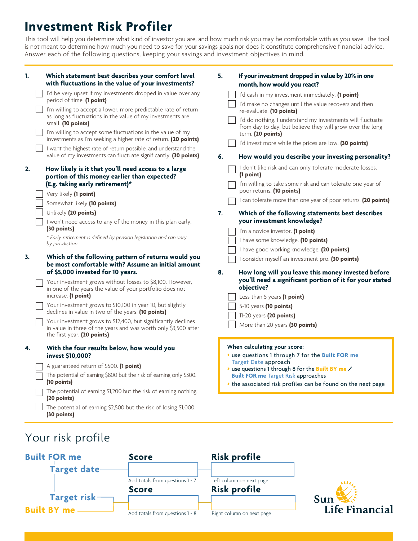# **Investment Risk Profiler**

This tool will help you determine what kind of investor you are, and how much risk you may be comfortable with as you save. The tool is not meant to determine how much you need to save for your savings goals nor does it constitute comprehensive financial advice. Answer each of the following questions, keeping your savings and investment objectives in mind.

| 1. |  | Which statement best describes your comfort level<br>with fluctuations in the value of your investments?                                                                                                                                                                                                         | 5. | If your investment dropped in value by 20% in one<br>month, how would you react?                                        |
|----|--|------------------------------------------------------------------------------------------------------------------------------------------------------------------------------------------------------------------------------------------------------------------------------------------------------------------|----|-------------------------------------------------------------------------------------------------------------------------|
|    |  | I'd be very upset if my investments dropped in value over any                                                                                                                                                                                                                                                    |    | I'd cash in my investment immediately. (1 point)                                                                        |
|    |  | period of time. (1 point)<br>I'm willing to accept a lower, more predictable rate of return<br>as long as fluctuations in the value of my investments are<br>small. (10 points)<br>I'm willing to accept some fluctuations in the value of my<br>investments as I'm seeking a higher rate of return. (20 points) |    | I'd make no changes until the value recovers and then<br>re-evaluate. (10 points)                                       |
|    |  |                                                                                                                                                                                                                                                                                                                  |    | I'd do nothing. I understand my investments will fluctuate<br>from day to day, but believe they will grow over the long |
|    |  |                                                                                                                                                                                                                                                                                                                  |    | term. (20 points)                                                                                                       |
|    |  | I want the highest rate of return possible, and understand the                                                                                                                                                                                                                                                   |    | I'd invest more while the prices are low. (30 points)                                                                   |
|    |  | value of my investments can fluctuate significantly. (30 points)                                                                                                                                                                                                                                                 | 6. | How would you describe your investing personality?                                                                      |
| 2. |  | How likely is it that you'll need access to a large<br>portion of this money earlier than expected?                                                                                                                                                                                                              |    | I don't like risk and can only tolerate moderate losses.<br>(1 point)                                                   |
|    |  | (E.g. taking early retirement)*<br>Very likely (1 point)                                                                                                                                                                                                                                                         |    | I'm willing to take some risk and can tolerate one year of<br>poor returns. (10 points)                                 |
|    |  | Somewhat likely (10 points)                                                                                                                                                                                                                                                                                      |    | I can tolerate more than one year of poor returns. (20 points)                                                          |
|    |  | Unlikely (20 points)                                                                                                                                                                                                                                                                                             | 7. | Which of the following statements best describes                                                                        |
|    |  | I won't need access to any of the money in this plan early.                                                                                                                                                                                                                                                      |    | your investment knowledge?                                                                                              |
|    |  | (30 points)                                                                                                                                                                                                                                                                                                      |    | I'm a novice investor. (1 point)                                                                                        |
|    |  | * Early retirement is defined by pension legislation and can vary<br>by jurisdiction.                                                                                                                                                                                                                            |    | I have some knowledge. (10 points)                                                                                      |
|    |  |                                                                                                                                                                                                                                                                                                                  |    | I have good working knowledge. (20 points)                                                                              |
| 3. |  | Which of the following pattern of returns would you<br>be most comfortable with? Assume an initial amount                                                                                                                                                                                                        |    | I consider myself an investment pro. (30 points)                                                                        |
|    |  | of \$5,000 invested for 10 years.                                                                                                                                                                                                                                                                                | 8. | How long will you leave this money invested before                                                                      |
|    |  | Your investment grows without losses to \$8,100. However,<br>in one of the years the value of your portfolio does not                                                                                                                                                                                            |    | you'll need a significant portion of it for your stated<br>objective?                                                   |
|    |  | increase. (1 point)                                                                                                                                                                                                                                                                                              |    | Less than 5 years (1 point)                                                                                             |
|    |  | Your investment grows to \$10,100 in year 10, but slightly                                                                                                                                                                                                                                                       |    | 5-10 years (10 points)                                                                                                  |
|    |  | declines in value in two of the years. (10 points)                                                                                                                                                                                                                                                               |    | 11-20 years (20 points)                                                                                                 |
|    |  | Your investment grows to \$12,400, but significantly declines<br>in value in three of the years and was worth only \$3,500 after<br>the first year. (20 points)                                                                                                                                                  |    | More than 20 years (30 points)                                                                                          |
| 4. |  | With the four results below, how would you                                                                                                                                                                                                                                                                       |    | When calculating your score:                                                                                            |
|    |  | invest \$10,000?                                                                                                                                                                                                                                                                                                 |    | * use questions 1 through 7 for the Built FOR me                                                                        |
|    |  | A guaranteed return of \$500. (1 point)                                                                                                                                                                                                                                                                          |    | <b>Target Date approach</b><br>> use questions 1 through 8 for the Built BY me /                                        |
|    |  | The potential of earning \$800 but the risk of earning only \$300.                                                                                                                                                                                                                                               |    | <b>Built FOR me Target Risk approaches</b>                                                                              |
|    |  | (10 points)                                                                                                                                                                                                                                                                                                      |    | the associated risk profiles can be found on the next page                                                              |
|    |  | The potential of earning \$1,200 but the risk of earning nothing.<br>(20 points)                                                                                                                                                                                                                                 |    |                                                                                                                         |
|    |  | The potential of earning \$2,500 but the risk of losing \$1,000.<br>(30 points)                                                                                                                                                                                                                                  |    |                                                                                                                         |

## Your risk profile